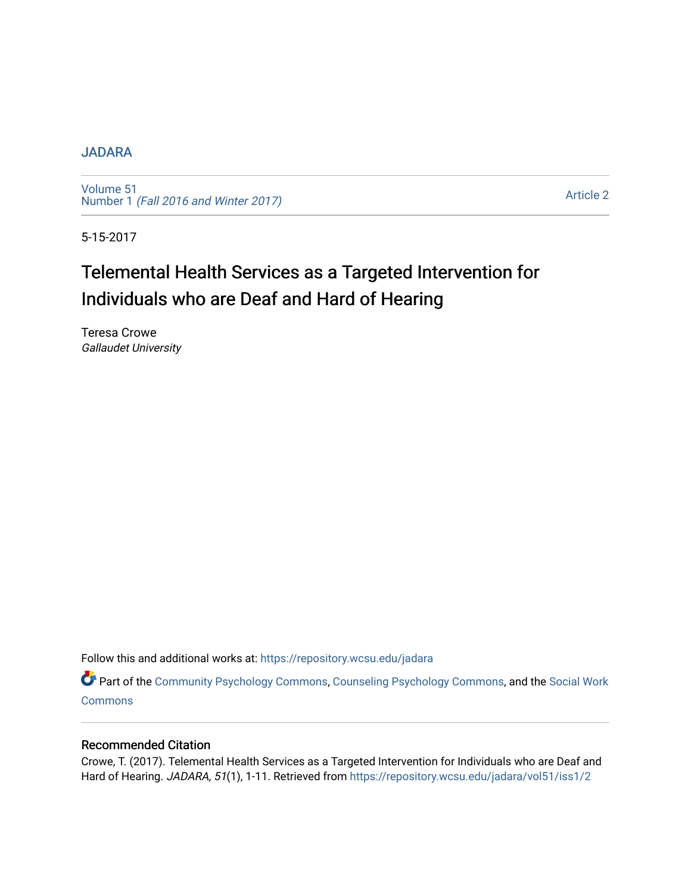# [JADARA](https://repository.wcsu.edu/jadara)

[Volume 51](https://repository.wcsu.edu/jadara/vol51)  Number 1 [\(Fall 2016 and Winter 2017\)](https://repository.wcsu.edu/jadara/vol51/iss1)

[Article 2](https://repository.wcsu.edu/jadara/vol51/iss1/2) 

5-15-2017

# Telemental Health Services as a Targeted Intervention for Individuals who are Deaf and Hard of Hearing

Teresa Crowe Gallaudet University

Follow this and additional works at: [https://repository.wcsu.edu/jadara](https://repository.wcsu.edu/jadara?utm_source=repository.wcsu.edu%2Fjadara%2Fvol51%2Fiss1%2F2&utm_medium=PDF&utm_campaign=PDFCoverPages)

Part of the [Community Psychology Commons,](http://network.bepress.com/hgg/discipline/409?utm_source=repository.wcsu.edu%2Fjadara%2Fvol51%2Fiss1%2F2&utm_medium=PDF&utm_campaign=PDFCoverPages) [Counseling Psychology Commons,](http://network.bepress.com/hgg/discipline/1044?utm_source=repository.wcsu.edu%2Fjadara%2Fvol51%2Fiss1%2F2&utm_medium=PDF&utm_campaign=PDFCoverPages) and the [Social Work](http://network.bepress.com/hgg/discipline/713?utm_source=repository.wcsu.edu%2Fjadara%2Fvol51%2Fiss1%2F2&utm_medium=PDF&utm_campaign=PDFCoverPages) **[Commons](http://network.bepress.com/hgg/discipline/713?utm_source=repository.wcsu.edu%2Fjadara%2Fvol51%2Fiss1%2F2&utm_medium=PDF&utm_campaign=PDFCoverPages)** 

# Recommended Citation

Crowe, T. (2017). Telemental Health Services as a Targeted Intervention for Individuals who are Deaf and Hard of Hearing. JADARA, 51(1), 1-11. Retrieved from https://repository.wcsu.edu/jadara/vol51/iss1/2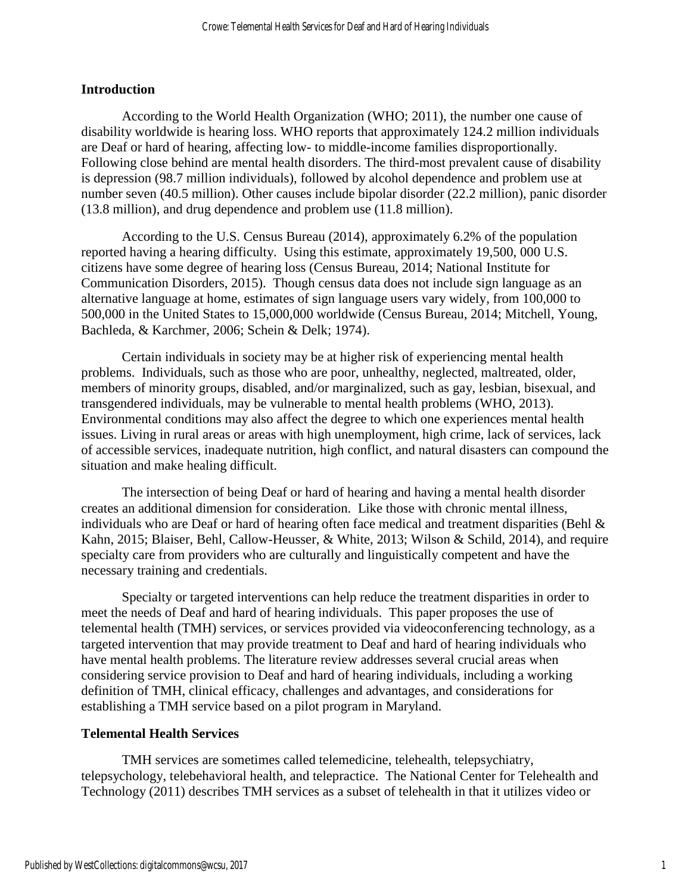## **Introduction**

According to the World Health Organization (WHO; 2011), the number one cause of disability worldwide is hearing loss. WHO reports that approximately 124.2 million individuals are Deaf or hard of hearing, affecting low- to middle-income families disproportionally. Following close behind are mental health disorders. The third-most prevalent cause of disability is depression (98.7 million individuals), followed by alcohol dependence and problem use at number seven (40.5 million). Other causes include bipolar disorder (22.2 million), panic disorder (13.8 million), and drug dependence and problem use (11.8 million).

According to the U.S. Census Bureau (2014), approximately 6.2% of the population reported having a hearing difficulty. Using this estimate, approximately 19,500, 000 U.S. citizens have some degree of hearing loss (Census Bureau, 2014; National Institute for Communication Disorders, 2015). Though census data does not include sign language as an alternative language at home, estimates of sign language users vary widely, from 100,000 to 500,000 in the United States to 15,000,000 worldwide (Census Bureau, 2014; Mitchell, Young, Bachleda, & Karchmer, 2006; Schein & Delk; 1974).

Certain individuals in society may be at higher risk of experiencing mental health problems. Individuals, such as those who are poor, unhealthy, neglected, maltreated, older, members of minority groups, disabled, and/or marginalized, such as gay, lesbian, bisexual, and transgendered individuals, may be vulnerable to mental health problems (WHO, 2013). Environmental conditions may also affect the degree to which one experiences mental health issues. Living in rural areas or areas with high unemployment, high crime, lack of services, lack of accessible services, inadequate nutrition, high conflict, and natural disasters can compound the situation and make healing difficult.

The intersection of being Deaf or hard of hearing and having a mental health disorder creates an additional dimension for consideration. Like those with chronic mental illness, individuals who are Deaf or hard of hearing often face medical and treatment disparities (Behl & Kahn, 2015; Blaiser, Behl, Callow-Heusser, & White, 2013; Wilson & Schild, 2014), and require specialty care from providers who are culturally and linguistically competent and have the necessary training and credentials.

Specialty or targeted interventions can help reduce the treatment disparities in order to meet the needs of Deaf and hard of hearing individuals. This paper proposes the use of telemental health (TMH) services, or services provided via videoconferencing technology, as a targeted intervention that may provide treatment to Deaf and hard of hearing individuals who have mental health problems. The literature review addresses several crucial areas when considering service provision to Deaf and hard of hearing individuals, including a working definition of TMH, clinical efficacy, challenges and advantages, and considerations for establishing a TMH service based on a pilot program in Maryland.

# **Telemental Health Services**

TMH services are sometimes called telemedicine, telehealth, telepsychiatry, telepsychology, telebehavioral health, and telepractice. The National Center for Telehealth and Technology (2011) describes TMH services as a subset of telehealth in that it utilizes video or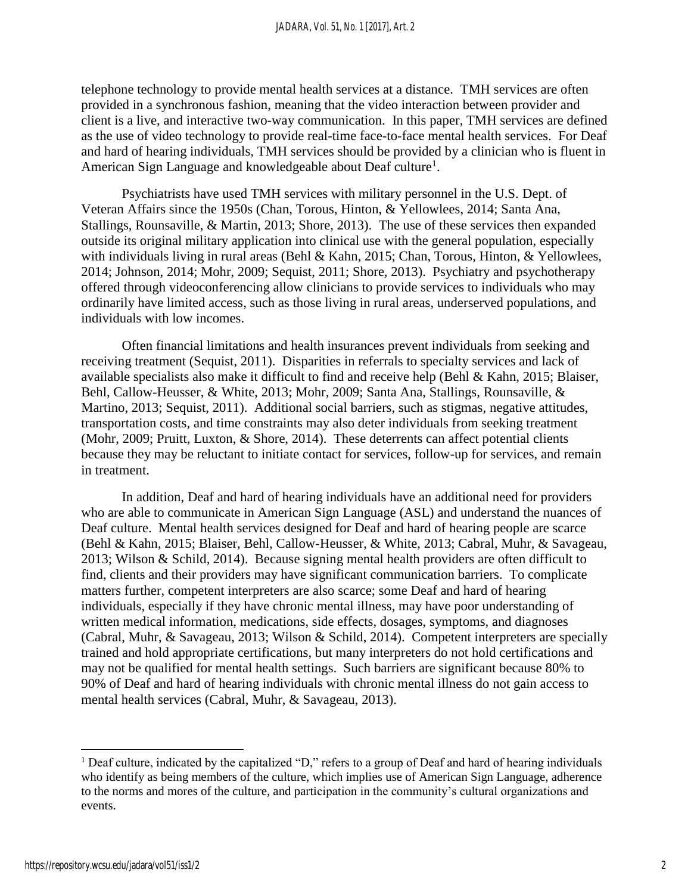telephone technology to provide mental health services at a distance. TMH services are often provided in a synchronous fashion, meaning that the video interaction between provider and client is a live, and interactive two-way communication. In this paper, TMH services are defined as the use of video technology to provide real-time face-to-face mental health services. For Deaf and hard of hearing individuals, TMH services should be provided by a clinician who is fluent in American Sign Language and knowledgeable about Deaf culture<sup>1</sup>.

Psychiatrists have used TMH services with military personnel in the U.S. Dept. of Veteran Affairs since the 1950s (Chan, Torous, Hinton, & Yellowlees, 2014; Santa Ana, Stallings, Rounsaville, & Martin, 2013; Shore, 2013). The use of these services then expanded outside its original military application into clinical use with the general population, especially with individuals living in rural areas (Behl & Kahn, 2015; Chan, Torous, Hinton, & Yellowlees, 2014; Johnson, 2014; Mohr, 2009; Sequist, 2011; Shore, 2013). Psychiatry and psychotherapy offered through videoconferencing allow clinicians to provide services to individuals who may ordinarily have limited access, such as those living in rural areas, underserved populations, and individuals with low incomes.

Often financial limitations and health insurances prevent individuals from seeking and receiving treatment (Sequist, 2011). Disparities in referrals to specialty services and lack of available specialists also make it difficult to find and receive help (Behl & Kahn, 2015; Blaiser, Behl, Callow-Heusser, & White, 2013; Mohr, 2009; Santa Ana, Stallings, Rounsaville, & Martino, 2013; Sequist, 2011). Additional social barriers, such as stigmas, negative attitudes, transportation costs, and time constraints may also deter individuals from seeking treatment (Mohr, 2009; Pruitt, Luxton, & Shore, 2014). These deterrents can affect potential clients because they may be reluctant to initiate contact for services, follow-up for services, and remain in treatment.

In addition, Deaf and hard of hearing individuals have an additional need for providers who are able to communicate in American Sign Language (ASL) and understand the nuances of Deaf culture. Mental health services designed for Deaf and hard of hearing people are scarce (Behl & Kahn, 2015; Blaiser, Behl, Callow-Heusser, & White, 2013; Cabral, Muhr, & Savageau, 2013; Wilson & Schild, 2014). Because signing mental health providers are often difficult to find, clients and their providers may have significant communication barriers. To complicate matters further, competent interpreters are also scarce; some Deaf and hard of hearing individuals, especially if they have chronic mental illness, may have poor understanding of written medical information, medications, side effects, dosages, symptoms, and diagnoses (Cabral, Muhr, & Savageau, 2013; Wilson & Schild, 2014). Competent interpreters are specially trained and hold appropriate certifications, but many interpreters do not hold certifications and may not be qualified for mental health settings. Such barriers are significant because 80% to 90% of Deaf and hard of hearing individuals with chronic mental illness do not gain access to mental health services (Cabral, Muhr, & Savageau, 2013).

 $\overline{\phantom{a}}$ 

<sup>&</sup>lt;sup>1</sup> Deaf culture, indicated by the capitalized "D," refers to a group of Deaf and hard of hearing individuals who identify as being members of the culture, which implies use of American Sign Language, adherence to the norms and mores of the culture, and participation in the community's cultural organizations and events.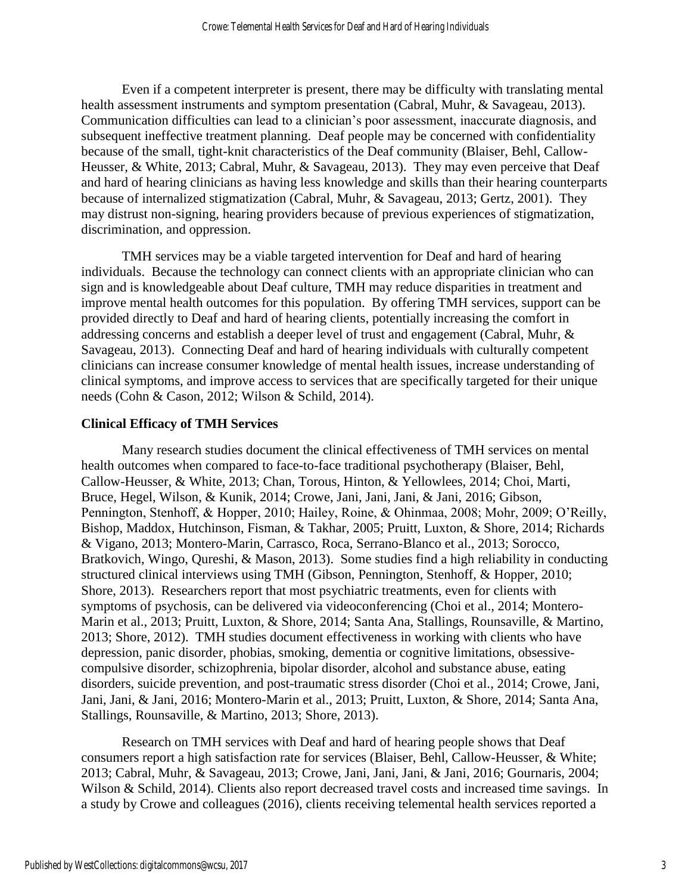Even if a competent interpreter is present, there may be difficulty with translating mental health assessment instruments and symptom presentation (Cabral, Muhr, & Savageau, 2013). Communication difficulties can lead to a clinician's poor assessment, inaccurate diagnosis, and subsequent ineffective treatment planning. Deaf people may be concerned with confidentiality because of the small, tight-knit characteristics of the Deaf community (Blaiser, Behl, Callow-Heusser, & White, 2013; Cabral, Muhr, & Savageau, 2013). They may even perceive that Deaf and hard of hearing clinicians as having less knowledge and skills than their hearing counterparts because of internalized stigmatization (Cabral, Muhr, & Savageau, 2013; Gertz, 2001). They may distrust non-signing, hearing providers because of previous experiences of stigmatization, discrimination, and oppression.

TMH services may be a viable targeted intervention for Deaf and hard of hearing individuals. Because the technology can connect clients with an appropriate clinician who can sign and is knowledgeable about Deaf culture, TMH may reduce disparities in treatment and improve mental health outcomes for this population. By offering TMH services, support can be provided directly to Deaf and hard of hearing clients, potentially increasing the comfort in addressing concerns and establish a deeper level of trust and engagement (Cabral, Muhr, & Savageau, 2013). Connecting Deaf and hard of hearing individuals with culturally competent clinicians can increase consumer knowledge of mental health issues, increase understanding of clinical symptoms, and improve access to services that are specifically targeted for their unique needs (Cohn & Cason, 2012; Wilson & Schild, 2014).

## **Clinical Efficacy of TMH Services**

Many research studies document the clinical effectiveness of TMH services on mental health outcomes when compared to face-to-face traditional psychotherapy (Blaiser, Behl, Callow-Heusser, & White, 2013; Chan, Torous, Hinton, & Yellowlees, 2014; Choi, Marti, Bruce, Hegel, Wilson, & Kunik, 2014; Crowe, Jani, Jani, Jani, & Jani, 2016; Gibson, Pennington, Stenhoff, & Hopper, 2010; Hailey, Roine, & Ohinmaa, 2008; Mohr, 2009; O'Reilly, Bishop, Maddox, Hutchinson, Fisman, & Takhar, 2005; Pruitt, Luxton, & Shore, 2014; Richards & Vigano, 2013; Montero-Marin, Carrasco, Roca, Serrano-Blanco et al., 2013; Sorocco, Bratkovich, Wingo, Qureshi, & Mason, 2013). Some studies find a high reliability in conducting structured clinical interviews using TMH (Gibson, Pennington, Stenhoff, & Hopper, 2010; Shore, 2013). Researchers report that most psychiatric treatments, even for clients with symptoms of psychosis, can be delivered via videoconferencing (Choi et al., 2014; Montero-Marin et al., 2013; Pruitt, Luxton, & Shore, 2014; Santa Ana, Stallings, Rounsaville, & Martino, 2013; Shore, 2012). TMH studies document effectiveness in working with clients who have depression, panic disorder, phobias, smoking, dementia or cognitive limitations, obsessivecompulsive disorder, schizophrenia, bipolar disorder, alcohol and substance abuse, eating disorders, suicide prevention, and post-traumatic stress disorder (Choi et al., 2014; Crowe, Jani, Jani, Jani, & Jani, 2016; Montero-Marin et al., 2013; Pruitt, Luxton, & Shore, 2014; Santa Ana, Stallings, Rounsaville, & Martino, 2013; Shore, 2013).

Research on TMH services with Deaf and hard of hearing people shows that Deaf consumers report a high satisfaction rate for services (Blaiser, Behl, Callow-Heusser, & White; 2013; Cabral, Muhr, & Savageau, 2013; Crowe, Jani, Jani, Jani, & Jani, 2016; Gournaris, 2004; Wilson & Schild, 2014). Clients also report decreased travel costs and increased time savings. In a study by Crowe and colleagues (2016), clients receiving telemental health services reported a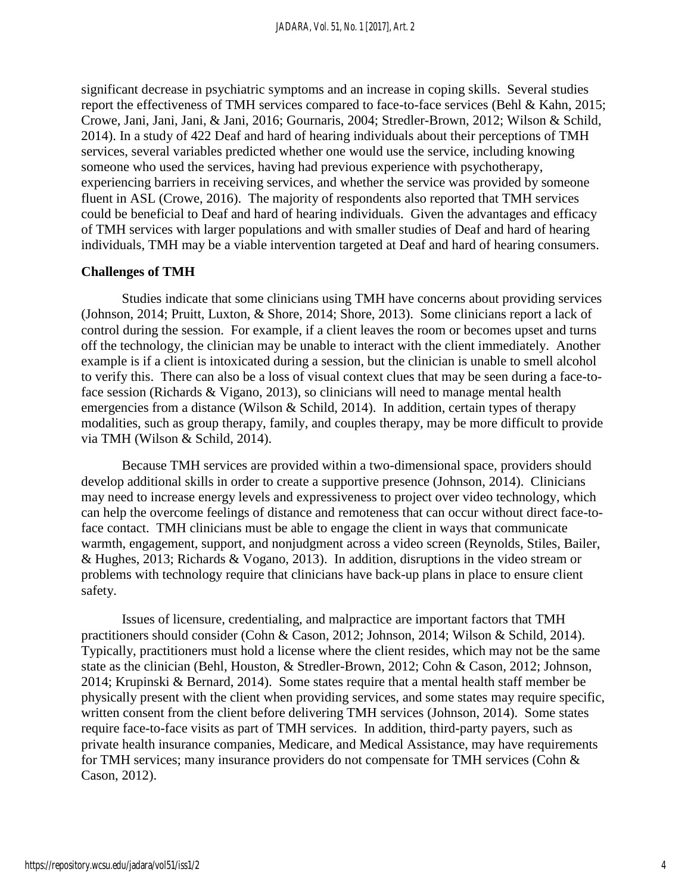significant decrease in psychiatric symptoms and an increase in coping skills. Several studies report the effectiveness of TMH services compared to face-to-face services (Behl & Kahn, 2015; Crowe, Jani, Jani, Jani, & Jani, 2016; Gournaris, 2004; Stredler-Brown, 2012; Wilson & Schild, 2014). In a study of 422 Deaf and hard of hearing individuals about their perceptions of TMH services, several variables predicted whether one would use the service, including knowing someone who used the services, having had previous experience with psychotherapy, experiencing barriers in receiving services, and whether the service was provided by someone fluent in ASL (Crowe, 2016). The majority of respondents also reported that TMH services could be beneficial to Deaf and hard of hearing individuals. Given the advantages and efficacy of TMH services with larger populations and with smaller studies of Deaf and hard of hearing individuals, TMH may be a viable intervention targeted at Deaf and hard of hearing consumers.

### **Challenges of TMH**

Studies indicate that some clinicians using TMH have concerns about providing services (Johnson, 2014; Pruitt, Luxton, & Shore, 2014; Shore, 2013). Some clinicians report a lack of control during the session. For example, if a client leaves the room or becomes upset and turns off the technology, the clinician may be unable to interact with the client immediately. Another example is if a client is intoxicated during a session, but the clinician is unable to smell alcohol to verify this. There can also be a loss of visual context clues that may be seen during a face-toface session (Richards & Vigano, 2013), so clinicians will need to manage mental health emergencies from a distance (Wilson & Schild, 2014). In addition, certain types of therapy modalities, such as group therapy, family, and couples therapy, may be more difficult to provide via TMH (Wilson & Schild, 2014).

Because TMH services are provided within a two-dimensional space, providers should develop additional skills in order to create a supportive presence (Johnson, 2014). Clinicians may need to increase energy levels and expressiveness to project over video technology, which can help the overcome feelings of distance and remoteness that can occur without direct face-toface contact. TMH clinicians must be able to engage the client in ways that communicate warmth, engagement, support, and nonjudgment across a video screen (Reynolds, Stiles, Bailer, & Hughes, 2013; Richards & Vogano, 2013). In addition, disruptions in the video stream or problems with technology require that clinicians have back-up plans in place to ensure client safety.

Issues of licensure, credentialing, and malpractice are important factors that TMH practitioners should consider (Cohn & Cason, 2012; Johnson, 2014; Wilson & Schild, 2014). Typically, practitioners must hold a license where the client resides, which may not be the same state as the clinician (Behl, Houston, & Stredler-Brown, 2012; Cohn & Cason, 2012; Johnson, 2014; Krupinski & Bernard, 2014). Some states require that a mental health staff member be physically present with the client when providing services, and some states may require specific, written consent from the client before delivering TMH services (Johnson, 2014). Some states require face-to-face visits as part of TMH services. In addition, third-party payers, such as private health insurance companies, Medicare, and Medical Assistance, may have requirements for TMH services; many insurance providers do not compensate for TMH services (Cohn & Cason, 2012).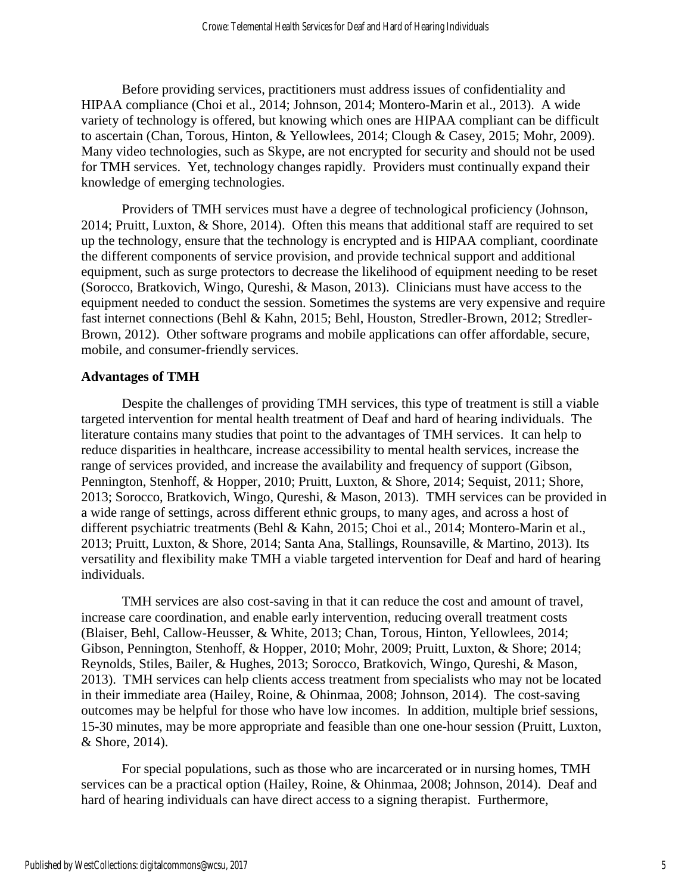Before providing services, practitioners must address issues of confidentiality and HIPAA compliance (Choi et al., 2014; Johnson, 2014; Montero-Marin et al., 2013). A wide variety of technology is offered, but knowing which ones are HIPAA compliant can be difficult to ascertain (Chan, Torous, Hinton, & Yellowlees, 2014; Clough & Casey, 2015; Mohr, 2009). Many video technologies, such as Skype, are not encrypted for security and should not be used for TMH services. Yet, technology changes rapidly. Providers must continually expand their knowledge of emerging technologies.

Providers of TMH services must have a degree of technological proficiency (Johnson, 2014; Pruitt, Luxton, & Shore, 2014). Often this means that additional staff are required to set up the technology, ensure that the technology is encrypted and is HIPAA compliant, coordinate the different components of service provision, and provide technical support and additional equipment, such as surge protectors to decrease the likelihood of equipment needing to be reset (Sorocco, Bratkovich, Wingo, Qureshi, & Mason, 2013). Clinicians must have access to the equipment needed to conduct the session. Sometimes the systems are very expensive and require fast internet connections (Behl & Kahn, 2015; Behl, Houston, Stredler-Brown, 2012; Stredler-Brown, 2012). Other software programs and mobile applications can offer affordable, secure, mobile, and consumer-friendly services.

## **Advantages of TMH**

Despite the challenges of providing TMH services, this type of treatment is still a viable targeted intervention for mental health treatment of Deaf and hard of hearing individuals. The literature contains many studies that point to the advantages of TMH services. It can help to reduce disparities in healthcare, increase accessibility to mental health services, increase the range of services provided, and increase the availability and frequency of support (Gibson, Pennington, Stenhoff, & Hopper, 2010; Pruitt, Luxton, & Shore, 2014; Sequist, 2011; Shore, 2013; Sorocco, Bratkovich, Wingo, Qureshi, & Mason, 2013). TMH services can be provided in a wide range of settings, across different ethnic groups, to many ages, and across a host of different psychiatric treatments (Behl & Kahn, 2015; Choi et al., 2014; Montero-Marin et al., 2013; Pruitt, Luxton, & Shore, 2014; Santa Ana, Stallings, Rounsaville, & Martino, 2013). Its versatility and flexibility make TMH a viable targeted intervention for Deaf and hard of hearing individuals.

TMH services are also cost-saving in that it can reduce the cost and amount of travel, increase care coordination, and enable early intervention, reducing overall treatment costs (Blaiser, Behl, Callow-Heusser, & White, 2013; Chan, Torous, Hinton, Yellowlees, 2014; Gibson, Pennington, Stenhoff, & Hopper, 2010; Mohr, 2009; Pruitt, Luxton, & Shore; 2014; Reynolds, Stiles, Bailer, & Hughes, 2013; Sorocco, Bratkovich, Wingo, Qureshi, & Mason, 2013). TMH services can help clients access treatment from specialists who may not be located in their immediate area (Hailey, Roine, & Ohinmaa, 2008; Johnson, 2014). The cost-saving outcomes may be helpful for those who have low incomes. In addition, multiple brief sessions, 15-30 minutes, may be more appropriate and feasible than one one-hour session (Pruitt, Luxton, & Shore, 2014).

For special populations, such as those who are incarcerated or in nursing homes, TMH services can be a practical option (Hailey, Roine, & Ohinmaa, 2008; Johnson, 2014). Deaf and hard of hearing individuals can have direct access to a signing therapist. Furthermore,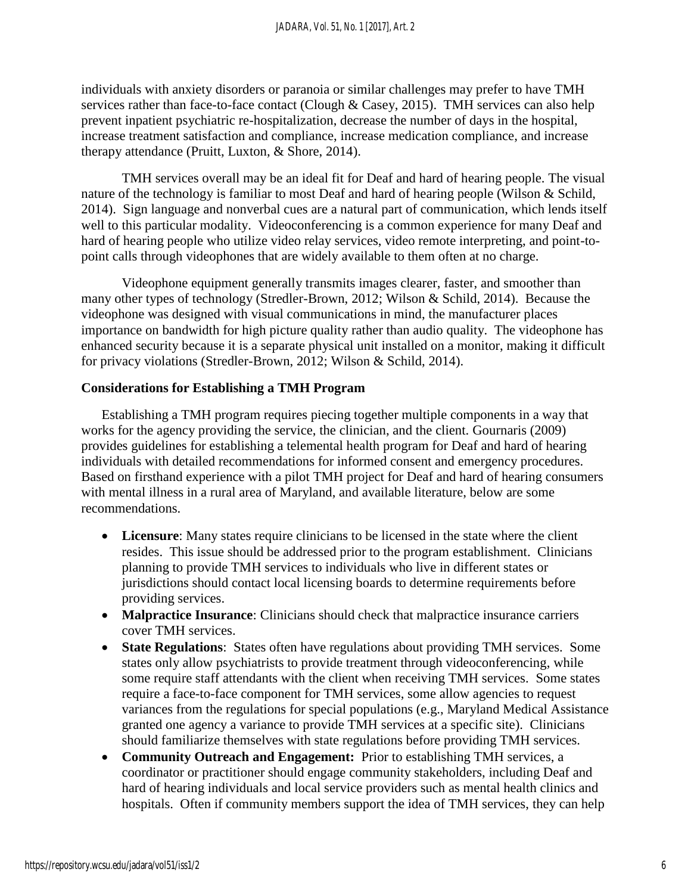individuals with anxiety disorders or paranoia or similar challenges may prefer to have TMH services rather than face-to-face contact (Clough & Casey, 2015). TMH services can also help prevent inpatient psychiatric re-hospitalization, decrease the number of days in the hospital, increase treatment satisfaction and compliance, increase medication compliance, and increase therapy attendance (Pruitt, Luxton, & Shore, 2014).

TMH services overall may be an ideal fit for Deaf and hard of hearing people. The visual nature of the technology is familiar to most Deaf and hard of hearing people (Wilson & Schild, 2014). Sign language and nonverbal cues are a natural part of communication, which lends itself well to this particular modality. Videoconferencing is a common experience for many Deaf and hard of hearing people who utilize video relay services, video remote interpreting, and point-topoint calls through videophones that are widely available to them often at no charge.

Videophone equipment generally transmits images clearer, faster, and smoother than many other types of technology (Stredler-Brown, 2012; Wilson & Schild, 2014). Because the videophone was designed with visual communications in mind, the manufacturer places importance on bandwidth for high picture quality rather than audio quality. The videophone has enhanced security because it is a separate physical unit installed on a monitor, making it difficult for privacy violations (Stredler-Brown, 2012; Wilson & Schild, 2014).

## **Considerations for Establishing a TMH Program**

Establishing a TMH program requires piecing together multiple components in a way that works for the agency providing the service, the clinician, and the client. Gournaris (2009) provides guidelines for establishing a telemental health program for Deaf and hard of hearing individuals with detailed recommendations for informed consent and emergency procedures. Based on firsthand experience with a pilot TMH project for Deaf and hard of hearing consumers with mental illness in a rural area of Maryland, and available literature, below are some recommendations.

- **Licensure**: Many states require clinicians to be licensed in the state where the client resides. This issue should be addressed prior to the program establishment. Clinicians planning to provide TMH services to individuals who live in different states or jurisdictions should contact local licensing boards to determine requirements before providing services.
- **Malpractice Insurance**: Clinicians should check that malpractice insurance carriers cover TMH services.
- **State Regulations**: States often have regulations about providing TMH services. Some states only allow psychiatrists to provide treatment through videoconferencing, while some require staff attendants with the client when receiving TMH services. Some states require a face-to-face component for TMH services, some allow agencies to request variances from the regulations for special populations (e.g., Maryland Medical Assistance granted one agency a variance to provide TMH services at a specific site). Clinicians should familiarize themselves with state regulations before providing TMH services.
- **Community Outreach and Engagement:** Prior to establishing TMH services, a coordinator or practitioner should engage community stakeholders, including Deaf and hard of hearing individuals and local service providers such as mental health clinics and hospitals. Often if community members support the idea of TMH services, they can help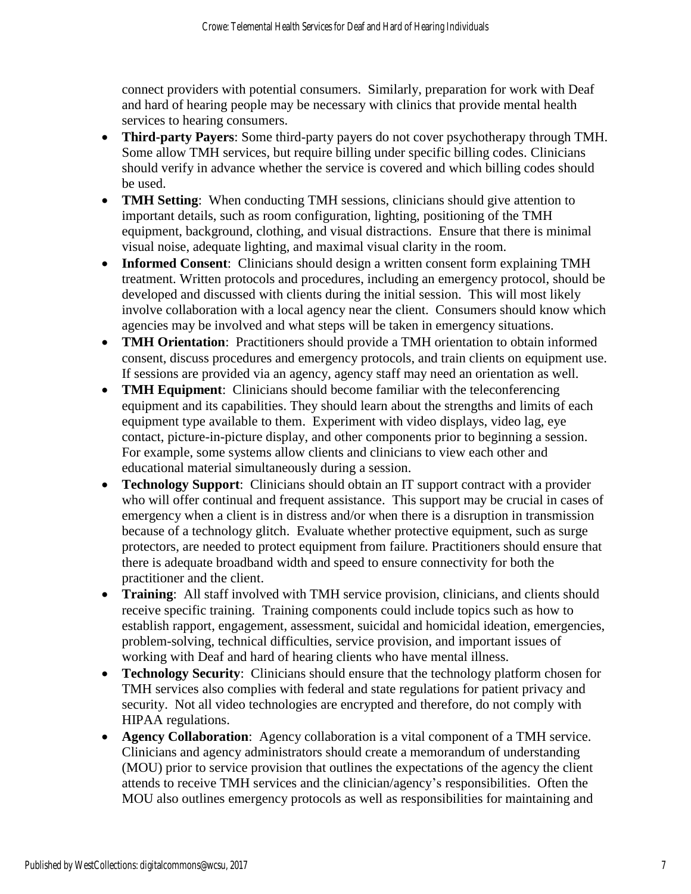connect providers with potential consumers. Similarly, preparation for work with Deaf and hard of hearing people may be necessary with clinics that provide mental health services to hearing consumers.

- **Third-party Payers**: Some third-party payers do not cover psychotherapy through TMH. Some allow TMH services, but require billing under specific billing codes. Clinicians should verify in advance whether the service is covered and which billing codes should be used.
- **TMH Setting**: When conducting TMH sessions, clinicians should give attention to important details, such as room configuration, lighting, positioning of the TMH equipment, background, clothing, and visual distractions. Ensure that there is minimal visual noise, adequate lighting, and maximal visual clarity in the room.
- **Informed Consent**: Clinicians should design a written consent form explaining TMH treatment. Written protocols and procedures, including an emergency protocol, should be developed and discussed with clients during the initial session. This will most likely involve collaboration with a local agency near the client. Consumers should know which agencies may be involved and what steps will be taken in emergency situations.
- **TMH Orientation:** Practitioners should provide a TMH orientation to obtain informed consent, discuss procedures and emergency protocols, and train clients on equipment use. If sessions are provided via an agency, agency staff may need an orientation as well.
- **TMH Equipment:** Clinicians should become familiar with the teleconferencing equipment and its capabilities. They should learn about the strengths and limits of each equipment type available to them. Experiment with video displays, video lag, eye contact, picture-in-picture display, and other components prior to beginning a session. For example, some systems allow clients and clinicians to view each other and educational material simultaneously during a session.
- **Technology Support**: Clinicians should obtain an IT support contract with a provider who will offer continual and frequent assistance. This support may be crucial in cases of emergency when a client is in distress and/or when there is a disruption in transmission because of a technology glitch. Evaluate whether protective equipment, such as surge protectors, are needed to protect equipment from failure. Practitioners should ensure that there is adequate broadband width and speed to ensure connectivity for both the practitioner and the client.
- **Training**: All staff involved with TMH service provision, clinicians, and clients should receive specific training. Training components could include topics such as how to establish rapport, engagement, assessment, suicidal and homicidal ideation, emergencies, problem-solving, technical difficulties, service provision, and important issues of working with Deaf and hard of hearing clients who have mental illness.
- **Technology Security**: Clinicians should ensure that the technology platform chosen for TMH services also complies with federal and state regulations for patient privacy and security. Not all video technologies are encrypted and therefore, do not comply with HIPAA regulations.
- **Agency Collaboration**: Agency collaboration is a vital component of a TMH service. Clinicians and agency administrators should create a memorandum of understanding (MOU) prior to service provision that outlines the expectations of the agency the client attends to receive TMH services and the clinician/agency's responsibilities. Often the MOU also outlines emergency protocols as well as responsibilities for maintaining and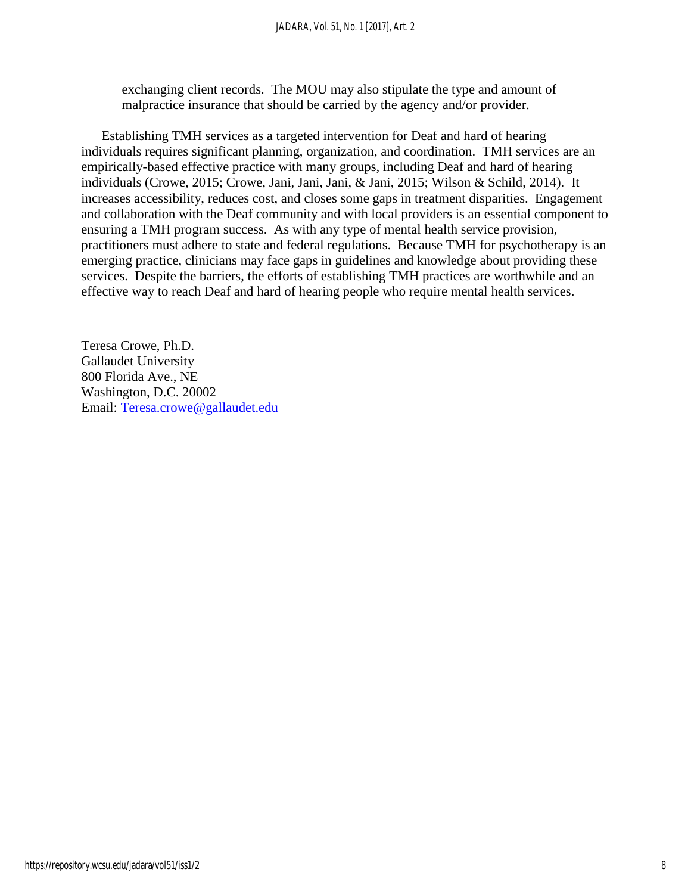exchanging client records. The MOU may also stipulate the type and amount of malpractice insurance that should be carried by the agency and/or provider.

Establishing TMH services as a targeted intervention for Deaf and hard of hearing individuals requires significant planning, organization, and coordination. TMH services are an empirically-based effective practice with many groups, including Deaf and hard of hearing individuals (Crowe, 2015; Crowe, Jani, Jani, Jani, & Jani, 2015; Wilson & Schild, 2014). It increases accessibility, reduces cost, and closes some gaps in treatment disparities. Engagement and collaboration with the Deaf community and with local providers is an essential component to ensuring a TMH program success. As with any type of mental health service provision, practitioners must adhere to state and federal regulations. Because TMH for psychotherapy is an emerging practice, clinicians may face gaps in guidelines and knowledge about providing these services. Despite the barriers, the efforts of establishing TMH practices are worthwhile and an effective way to reach Deaf and hard of hearing people who require mental health services.

Teresa Crowe, Ph.D. Gallaudet University 800 Florida Ave., NE Washington, D.C. 20002 Email: [Teresa.crowe@gallaudet.edu](mailto:Teresa.crowe@gallaudet.edu)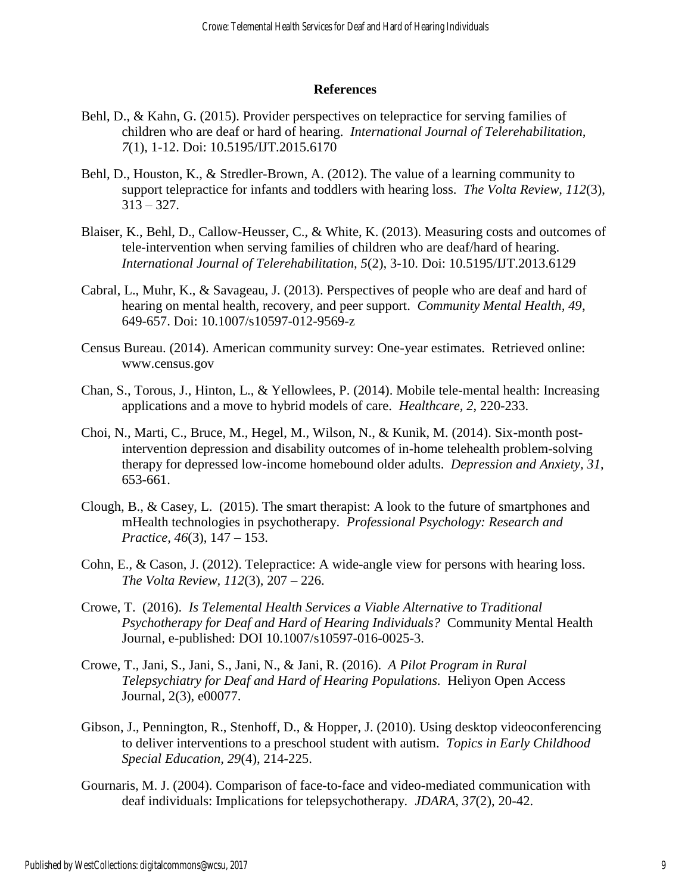### **References**

- Behl, D., & Kahn, G. (2015). Provider perspectives on telepractice for serving families of children who are deaf or hard of hearing. *International Journal of Telerehabilitation, 7*(1), 1-12. Doi: 10.5195/IJT.2015.6170
- Behl, D., Houston, K., & Stredler-Brown, A. (2012). The value of a learning community to support telepractice for infants and toddlers with hearing loss. *The Volta Review, 112*(3),  $313 - 327$ .
- Blaiser, K., Behl, D., Callow-Heusser, C., & White, K. (2013). Measuring costs and outcomes of tele-intervention when serving families of children who are deaf/hard of hearing. *International Journal of Telerehabilitation, 5*(2), 3-10. Doi: 10.5195/IJT.2013.6129
- Cabral, L., Muhr, K., & Savageau, J. (2013). Perspectives of people who are deaf and hard of hearing on mental health, recovery, and peer support. *Community Mental Health, 49*, 649-657. Doi: 10.1007/s10597-012-9569-z
- Census Bureau. (2014). American community survey: One-year estimates. Retrieved online: www.census.gov
- Chan, S., Torous, J., Hinton, L., & Yellowlees, P. (2014). Mobile tele-mental health: Increasing applications and a move to hybrid models of care. *Healthcare, 2*, 220-233.
- Choi, N., Marti, C., Bruce, M., Hegel, M., Wilson, N., & Kunik, M. (2014). Six-month postintervention depression and disability outcomes of in-home telehealth problem-solving therapy for depressed low-income homebound older adults. *Depression and Anxiety, 31*, 653-661.
- Clough, B., & Casey, L. (2015). The smart therapist: A look to the future of smartphones and mHealth technologies in psychotherapy. *Professional Psychology: Research and Practice, 46*(3), 147 – 153.
- Cohn, E., & Cason, J. (2012). Telepractice: A wide-angle view for persons with hearing loss. *The Volta Review, 112*(3), 207 – 226.
- Crowe, T. (2016). *Is Telemental Health Services a Viable Alternative to Traditional Psychotherapy for Deaf and Hard of Hearing Individuals?* Community Mental Health Journal, e-published: DOI 10.1007/s10597-016-0025-3.
- Crowe, T., Jani, S., Jani, S., Jani, N., & Jani, R. (2016). *A Pilot Program in Rural Telepsychiatry for Deaf and Hard of Hearing Populations.* Heliyon Open Access Journal, 2(3), e00077.
- Gibson, J., Pennington, R., Stenhoff, D., & Hopper, J. (2010). Using desktop videoconferencing to deliver interventions to a preschool student with autism. *Topics in Early Childhood Special Education, 29*(4), 214-225.
- Gournaris, M. J. (2004). Comparison of face-to-face and video-mediated communication with deaf individuals: Implications for telepsychotherapy*. JDARA, 37*(2), 20-42.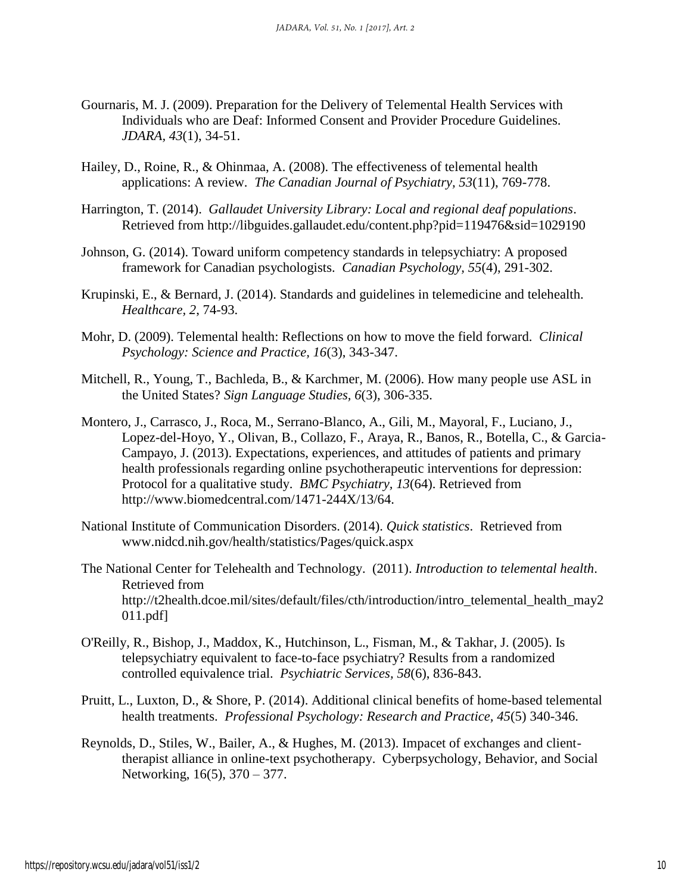- Gournaris, M. J. (2009). Preparation for the Delivery of Telemental Health Services with Individuals who are Deaf: Informed Consent and Provider Procedure Guidelines. *JDARA, 43*(1), 34-51.
- Hailey, D., Roine, R., & Ohinmaa, A. (2008). The effectiveness of telemental health applications: A review. *The Canadian Journal of Psychiatry, 53*(11), 769-778.
- Harrington, T. (2014). *Gallaudet University Library: Local and regional deaf populations*. Retrieved from <http://libguides.gallaudet.edu/content.php?pid=119476&sid=1029190>
- Johnson, G. (2014). Toward uniform competency standards in telepsychiatry: A proposed framework for Canadian psychologists. *Canadian Psychology, 55*(4), 291-302.
- Krupinski, E., & Bernard, J. (2014). Standards and guidelines in telemedicine and telehealth. *Healthcare, 2*, 74-93.
- Mohr, D. (2009). Telemental health: Reflections on how to move the field forward. *Clinical Psychology: Science and Practice, 16*(3), 343-347.
- Mitchell, R., Young, T., Bachleda, B., & Karchmer, M. (2006). How many people use ASL in the United States? *Sign Language Studies, 6*(3), 306-335.
- Montero, J., Carrasco, J., Roca, M., Serrano-Blanco, A., Gili, M., Mayoral, F., Luciano, J., Lopez-del-Hoyo, Y., Olivan, B., Collazo, F., Araya, R., Banos, R., Botella, C., & Garcia-Campayo, J. (2013). Expectations, experiences, and attitudes of patients and primary health professionals regarding online psychotherapeutic interventions for depression: Protocol for a qualitative study. *BMC Psychiatry, 13*(64). Retrieved from http://www.biomedcentral.com/1471-244X/13/64.
- National Institute of Communication Disorders. (2014). *Quick statistics*. Retrieved from [www.nidcd.nih.gov/health/statistics/Pages/quick.aspx](http://www.nidcd.nih.gov/health/statistics/Pages/quick.aspx)
- The National Center for Telehealth and Technology. (2011). *Introduction to telemental health*. Retrieved from http://t2health.dcoe.mil/sites/default/files/cth/introduction/intro\_telemental\_health\_may2 011.pdf]
- O'Reilly, R., Bishop, J., Maddox, K., Hutchinson, L., Fisman, M., & Takhar, J. (2005). Is telepsychiatry equivalent to face-to-face psychiatry? Results from a randomized controlled equivalence trial. *Psychiatric Services, 58*(6), 836-843.
- Pruitt, L., Luxton, D., & Shore, P. (2014). Additional clinical benefits of home-based telemental health treatments. *Professional Psychology: Research and Practice, 45*(5) 340-346.
- Reynolds, D., Stiles, W., Bailer, A., & Hughes, M. (2013). Impacet of exchanges and clienttherapist alliance in online-text psychotherapy. Cyberpsychology, Behavior, and Social Networking, 16(5), 370 – 377.